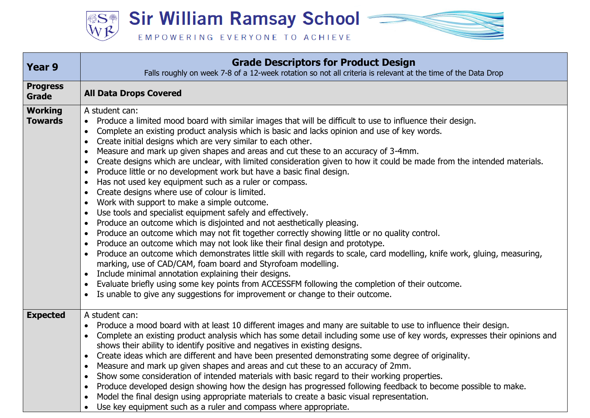**Sir William Ramsay School =** SS<sup>4</sup>

EMPOWERING EVERYONE TO ACHIEVE

| <b>Year 9</b>                    | <b>Grade Descriptors for Product Design</b><br>Falls roughly on week 7-8 of a 12-week rotation so not all criteria is relevant at the time of the Data Drop                                                                                                                                                                                                                                                                                                                                                                                                                                                                                                                                                                                                                                                                                                                                                                                                                                                                                                                                                                                                                                                                                                                                                                                                                                                                                                                                                                                                                                                             |
|----------------------------------|-------------------------------------------------------------------------------------------------------------------------------------------------------------------------------------------------------------------------------------------------------------------------------------------------------------------------------------------------------------------------------------------------------------------------------------------------------------------------------------------------------------------------------------------------------------------------------------------------------------------------------------------------------------------------------------------------------------------------------------------------------------------------------------------------------------------------------------------------------------------------------------------------------------------------------------------------------------------------------------------------------------------------------------------------------------------------------------------------------------------------------------------------------------------------------------------------------------------------------------------------------------------------------------------------------------------------------------------------------------------------------------------------------------------------------------------------------------------------------------------------------------------------------------------------------------------------------------------------------------------------|
| <b>Progress</b><br><b>Grade</b>  | <b>All Data Drops Covered</b>                                                                                                                                                                                                                                                                                                                                                                                                                                                                                                                                                                                                                                                                                                                                                                                                                                                                                                                                                                                                                                                                                                                                                                                                                                                                                                                                                                                                                                                                                                                                                                                           |
| <b>Working</b><br><b>Towards</b> | A student can:<br>Produce a limited mood board with similar images that will be difficult to use to influence their design.<br>Complete an existing product analysis which is basic and lacks opinion and use of key words.<br>Create initial designs which are very similar to each other.<br>Measure and mark up given shapes and areas and cut these to an accuracy of 3-4mm.<br>Create designs which are unclear, with limited consideration given to how it could be made from the intended materials.<br>$\bullet$<br>Produce little or no development work but have a basic final design.<br>$\bullet$<br>Has not used key equipment such as a ruler or compass.<br>$\bullet$<br>Create designs where use of colour is limited.<br>Work with support to make a simple outcome.<br>$\bullet$<br>Use tools and specialist equipment safely and effectively.<br>Produce an outcome which is disjointed and not aesthetically pleasing.<br>$\bullet$<br>Produce an outcome which may not fit together correctly showing little or no quality control.<br>$\bullet$<br>Produce an outcome which may not look like their final design and prototype.<br>Produce an outcome which demonstrates little skill with regards to scale, card modelling, knife work, gluing, measuring,<br>marking, use of CAD/CAM, foam board and Styrofoam modelling.<br>Include minimal annotation explaining their designs.<br>$\bullet$<br>Evaluate briefly using some key points from ACCESSFM following the completion of their outcome.<br>$\bullet$<br>Is unable to give any suggestions for improvement or change to their outcome. |
| <b>Expected</b>                  | A student can:<br>Produce a mood board with at least 10 different images and many are suitable to use to influence their design.<br>Complete an existing product analysis which has some detail including some use of key words, expresses their opinions and<br>$\bullet$<br>shows their ability to identify positive and negatives in existing designs.<br>Create ideas which are different and have been presented demonstrating some degree of originality.<br>$\bullet$<br>Measure and mark up given shapes and areas and cut these to an accuracy of 2mm.<br>$\bullet$<br>Show some consideration of intended materials with basic regard to their working properties.<br>$\bullet$<br>Produce developed design showing how the design has progressed following feedback to become possible to make.<br>$\bullet$<br>Model the final design using appropriate materials to create a basic visual representation.<br>Use key equipment such as a ruler and compass where appropriate.                                                                                                                                                                                                                                                                                                                                                                                                                                                                                                                                                                                                                              |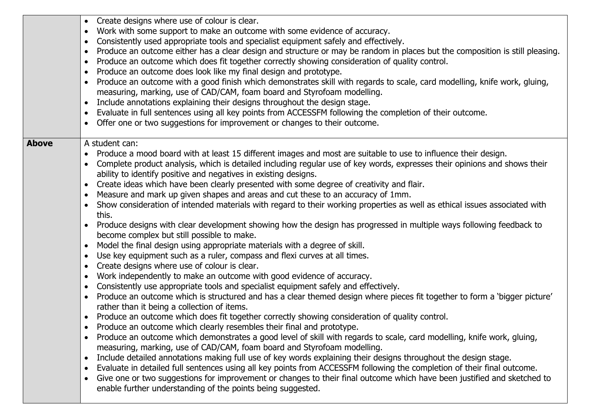|              | Create designs where use of colour is clear.<br>$\bullet$                                                                                 |
|--------------|-------------------------------------------------------------------------------------------------------------------------------------------|
|              | Work with some support to make an outcome with some evidence of accuracy.<br>$\bullet$                                                    |
|              | Consistently used appropriate tools and specialist equipment safely and effectively.<br>$\bullet$                                         |
|              | Produce an outcome either has a clear design and structure or may be random in places but the composition is still pleasing.<br>$\bullet$ |
|              | Produce an outcome which does fit together correctly showing consideration of quality control.<br>$\bullet$                               |
|              | Produce an outcome does look like my final design and prototype.<br>$\bullet$                                                             |
|              | Produce an outcome with a good finish which demonstrates skill with regards to scale, card modelling, knife work, gluing,                 |
|              | measuring, marking, use of CAD/CAM, foam board and Styrofoam modelling.                                                                   |
|              | Include annotations explaining their designs throughout the design stage.<br>$\bullet$                                                    |
|              | Evaluate in full sentences using all key points from ACCESSFM following the completion of their outcome.<br>$\bullet$                     |
|              | Offer one or two suggestions for improvement or changes to their outcome.                                                                 |
|              |                                                                                                                                           |
| <b>Above</b> | A student can:                                                                                                                            |
|              | Produce a mood board with at least 15 different images and most are suitable to use to influence their design.                            |
|              | Complete product analysis, which is detailed including regular use of key words, expresses their opinions and shows their                 |
|              | ability to identify positive and negatives in existing designs.                                                                           |
|              | Create ideas which have been clearly presented with some degree of creativity and flair.<br>$\bullet$                                     |
|              | Measure and mark up given shapes and areas and cut these to an accuracy of 1mm.<br>$\bullet$                                              |
|              | Show consideration of intended materials with regard to their working properties as well as ethical issues associated with<br>$\bullet$   |
|              | this.                                                                                                                                     |
|              | Produce designs with clear development showing how the design has progressed in multiple ways following feedback to                       |
|              | become complex but still possible to make.                                                                                                |
|              | Model the final design using appropriate materials with a degree of skill.<br>$\bullet$                                                   |
|              | Use key equipment such as a ruler, compass and flexi curves at all times.<br>$\bullet$                                                    |
|              | Create designs where use of colour is clear.<br>$\bullet$                                                                                 |
|              | Work independently to make an outcome with good evidence of accuracy.<br>$\bullet$                                                        |
|              | Consistently use appropriate tools and specialist equipment safely and effectively.<br>$\bullet$                                          |
|              | Produce an outcome which is structured and has a clear themed design where pieces fit together to form a 'bigger picture'<br>$\bullet$    |
|              | rather than it being a collection of items.                                                                                               |
|              | Produce an outcome which does fit together correctly showing consideration of quality control.<br>$\bullet$                               |
|              | Produce an outcome which clearly resembles their final and prototype.                                                                     |
|              | Produce an outcome which demonstrates a good level of skill with regards to scale, card modelling, knife work, gluing,<br>$\bullet$       |
|              | measuring, marking, use of CAD/CAM, foam board and Styrofoam modelling.                                                                   |
|              | Include detailed annotations making full use of key words explaining their designs throughout the design stage.<br>$\bullet$              |
|              | Evaluate in detailed full sentences using all key points from ACCESSFM following the completion of their final outcome.<br>$\bullet$      |
|              | Give one or two suggestions for improvement or changes to their final outcome which have been justified and sketched to<br>$\bullet$      |
|              | enable further understanding of the points being suggested.                                                                               |
|              |                                                                                                                                           |